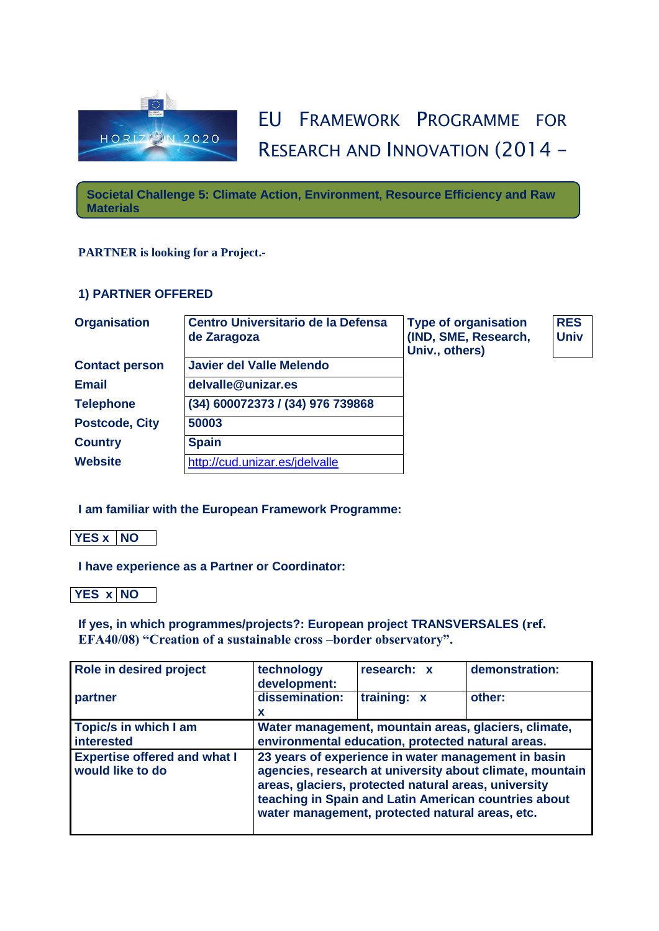

## EU FRAMEWORK PROGRAMME FOR RESEARCH AND INNOVATION (2014 –

2020) **Societal Challenge 5: Climate Action, Environment, Resource Efficiency and Raw Materials**

## **PARTNER is looking for a Project.-**

## **1) PARTNER OFFERED**

| <b>Organisation</b>   | <b>Centro Universitario de la Defensa</b><br>de Zaragoza | <b>Type of organisation</b><br>(IND, SME, Research,<br>Univ., others) | <b>RES</b><br><b>Univ</b> |
|-----------------------|----------------------------------------------------------|-----------------------------------------------------------------------|---------------------------|
| <b>Contact person</b> | <b>Javier del Valle Melendo</b>                          |                                                                       |                           |
| <b>Email</b>          | delvalle@unizar.es                                       |                                                                       |                           |
| <b>Telephone</b>      | (34) 600072373 / (34) 976 739868                         |                                                                       |                           |
| <b>Postcode, City</b> | 50003                                                    |                                                                       |                           |
| <b>Country</b>        | <b>Spain</b>                                             |                                                                       |                           |
| <b>Website</b>        | http://cud.unizar.es/jdelvalle                           |                                                                       |                           |

**I am familiar with the European Framework Programme:** 

**YES x NO** 

**I have experience as a Partner or Coordinator:**

**YES x NO** 

**If yes, in which programmes/projects?: European project TRANSVERSALES (ref. EFA40/08) "Creation of a sustainable cross –border observatory".**

| Role in desired project                                 | technology<br>development:                                                                                                                                                                                                                                                         | research: x | demonstration: |
|---------------------------------------------------------|------------------------------------------------------------------------------------------------------------------------------------------------------------------------------------------------------------------------------------------------------------------------------------|-------------|----------------|
| partner                                                 | dissemination:<br>x                                                                                                                                                                                                                                                                | training: x | other:         |
| Topic/s in which I am<br>interested                     | Water management, mountain areas, glaciers, climate,<br>environmental education, protected natural areas.                                                                                                                                                                          |             |                |
| <b>Expertise offered and what I</b><br>would like to do | 23 years of experience in water management in basin<br>agencies, research at university about climate, mountain<br>areas, glaciers, protected natural areas, university<br>teaching in Spain and Latin American countries about<br>water management, protected natural areas, etc. |             |                |